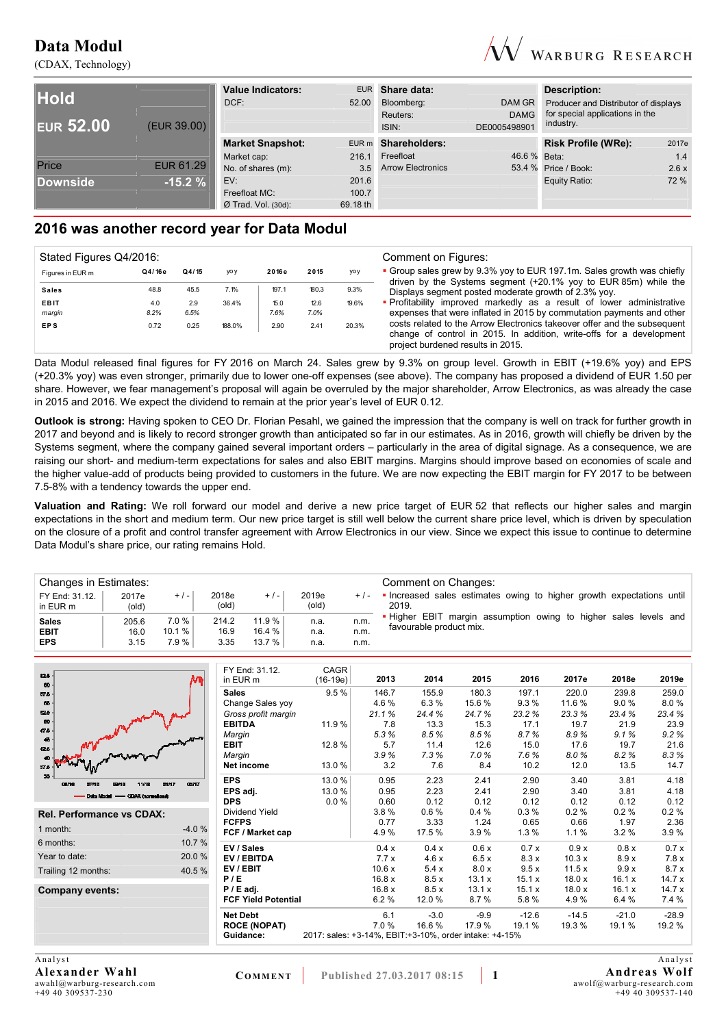(CDAX, Technology)



|                  |                  | <b>Value Indicators:</b> |          | EUR Share data:          |              | Description:                         |       |
|------------------|------------------|--------------------------|----------|--------------------------|--------------|--------------------------------------|-------|
| <b>Hold</b>      |                  | DCF:                     | 52.00    | Bloomberg:               | DAM GR       | Producer and Distributor of displays |       |
|                  |                  |                          |          | Reuters:                 | <b>DAMG</b>  | for special applications in the      |       |
| <b>EUR 52.00</b> | (EUR 39.00)      |                          |          | ISIN:                    | DE0005498901 | industry.                            |       |
|                  |                  | <b>Market Snapshot:</b>  |          | EUR m Shareholders:      |              | <b>Risk Profile (WRe):</b>           | 2017e |
|                  |                  | Market cap:              | 216.1    | Freefloat                | 46.6 % Beta: |                                      | 1.4   |
| Price            | <b>EUR 61.29</b> | No. of shares (m):       | 3.5      | <b>Arrow Electronics</b> |              | 53.4 % Price / Book:                 | 2.6x  |
| <b>Downside</b>  | $-15.2%$         | EV:                      | 201.6    |                          |              | Equity Ratio:                        | 72 %  |
|                  |                  | Freefloat MC:            | 100.7    |                          |              |                                      |       |
|                  |                  | $Ø$ Trad. Vol. (30d):    | 69.18 th |                          |              |                                      |       |

# **2016 was another record year for Data Modul**

| Stated Figures Q4/2016: |        |       |        |       |       |       | Comment on Figures:                                                                                                                                                                   |
|-------------------------|--------|-------|--------|-------|-------|-------|---------------------------------------------------------------------------------------------------------------------------------------------------------------------------------------|
| Figures in EUR m        | Q4/16e | Q4/15 | yo y   | 2016e | 2015  | yoy   | • Group sales grew by 9.3% yoy to EUR 197.1m. Sales growth was chiefly<br>driven by the Systems segment $(+20.1\%$ yoy to EUR 85m) while the                                          |
| <b>Sales</b>            | 48.8   | 45.5  | 7.1%   | 197.1 | 180.3 | 9.3%  | Displays segment posted moderate growth of 2.3% yoy.                                                                                                                                  |
| <b>EBIT</b>             | 4.0    | 2.9   | 36.4%  | 15.0  | 12.6  | 19.6% | . Profitability improved markedly as a result of lower administrative                                                                                                                 |
| margin                  | 8.2%   | 6.5%  |        | 7.6%  | 7.0%  |       | expenses that were inflated in 2015 by commutation payments and other                                                                                                                 |
| <b>EPS</b>              | 0.72   | 0.25  | 188.0% | 2.90  | 2.41  | 20.3% | costs related to the Arrow Electronics takeover offer and the subsequent<br>change of control in 2015. In addition, write-offs for a development<br>project burdened results in 2015. |

Data Modul released final figures for FY 2016 on March 24. Sales grew by 9.3% on group level. Growth in EBIT (+19.6% yoy) and EPS (+20.3% yoy) was even stronger, primarily due to lower one-off expenses (see above). The company has proposed a dividend of EUR 1.50 per share. However, we fear management's proposal will again be overruled by the major shareholder, Arrow Electronics, as was already the case in 2015 and 2016. We expect the dividend to remain at the prior year's level of EUR 0.12.

**Outlook is strong:** Having spoken to CEO Dr. Florian Pesahl, we gained the impression that the company is well on track for further growth in 2017 and beyond and is likely to record stronger growth than anticipated so far in our estimates. As in 2016, growth will chiefly be driven by the Systems segment, where the company gained several important orders – particularly in the area of digital signage. As a consequence, we are raising our short- and medium-term expectations for sales and also EBIT margins. Margins should improve based on economies of scale and the higher value-add of products being provided to customers in the future. We are now expecting the EBIT margin for FY 2017 to be between 7.5-8% with a tendency towards the upper end.

**Valuation and Rating:** We roll forward our model and derive a new price target of EUR 52 that reflects our higher sales and margin expectations in the short and medium term. Our new price target is still well below the current share price level, which is driven by speculation on the closure of a profit and control transfer agreement with Arrow Electronics in our view. Since we expect this issue to continue to determine Data Modul's share price, our rating remains Hold.

| Changes in Estimates:      |                         |         |                |        |                |         | Comment on Changes:                                                          |
|----------------------------|-------------------------|---------|----------------|--------|----------------|---------|------------------------------------------------------------------------------|
| FY End: 31.12.<br>in EUR m | 2017e<br>$\text{(old)}$ | $+ / -$ | 2018e<br>(old) | $+/-$  | 2019e<br>(old) | $+$ / - | Increased sales estimates owing to higher growth expectations until<br>2019. |
| <b>Sales</b>               | 205.6                   | 7.0%    | 214.2          | 11.9%  | n.a.           | n.m.    | . Higher EBIT margin assumption owing to higher sales levels and             |
| <b>EBIT</b>                | 16.0                    | 10.1%   | 16.9           | 16.4 % | n.a.           | n.m.    | favourable product mix.                                                      |
| <b>EPS</b>                 | 3.15                    | 7.9%    | 3.35           | 13.7%  | n.a.           | n.m.    |                                                                              |

| 52.5<br>60                               | ۸m      | FY End: 31.12.<br>in EUR m | CAGR<br>$(16-19e)$                                      | 2013  | 2014   | 2015   | 2016    | 2017e   | 2018e   | 2019e   |
|------------------------------------------|---------|----------------------------|---------------------------------------------------------|-------|--------|--------|---------|---------|---------|---------|
| $57.5 -$                                 |         | <b>Sales</b>               | 9.5%                                                    | 146.7 | 155.9  | 180.3  | 197.1   | 220.0   | 239.8   | 259.0   |
| 56                                       |         | Change Sales yoy           |                                                         | 4.6%  | 6.3%   | 15.6%  | 9.3%    | 11.6 %  | 9.0%    | 8.0%    |
| 525                                      |         | Gross profit margin        |                                                         | 21.1% | 24.4%  | 24.7%  | 23.2%   | 23.3%   | 23.4 %  | 23.4%   |
| 60                                       |         | <b>EBITDA</b>              | 11.9 %                                                  | 7.8   | 13.3   | 15.3   | 17.1    | 19.7    | 21.9    | 23.9    |
| $17\,\mathrm{h}$<br>$46\,$               |         | Margin                     |                                                         | 5.3%  | 8.5%   | 8.5%   | 8.7%    | 8.9%    | 9.1%    | 9.2%    |
| $12.5 -$                                 |         | <b>EBIT</b>                | 12.8%                                                   | 5.7   | 11.4   | 12.6   | 15.0    | 17.6    | 19.7    | 21.6    |
|                                          |         | Margin                     |                                                         | 3.9%  | 7.3%   | 7.0%   | 7.6%    | 8.0%    | 8.2%    | 8.3%    |
| 37.5                                     |         | Net income                 | 13.0 %                                                  | 3.2   | 7.6    | 8.4    | 10.2    | 12.0    | 13.5    | 14.7    |
| 05/16<br>07/16<br>11/16<br>01/17<br>DEMB | 03/17   | <b>EPS</b>                 | 13.0 %                                                  | 0.95  | 2.23   | 2.41   | 2.90    | 3.40    | 3.81    | 4.18    |
| Data Modul - GDAX (normalised)           |         | EPS adj.                   | 13.0 %                                                  | 0.95  | 2.23   | 2.41   | 2.90    | 3.40    | 3.81    | 4.18    |
|                                          |         | <b>DPS</b>                 | $0.0 \%$                                                | 0.60  | 0.12   | 0.12   | 0.12    | 0.12    | 0.12    | 0.12    |
| <b>Rel. Performance vs CDAX:</b>         |         | Dividend Yield             |                                                         | 3.8%  | 0.6%   | 0.4%   | 0.3%    | 0.2%    | 0.2%    | 0.2%    |
|                                          |         | <b>FCFPS</b>               |                                                         | 0.77  | 3.33   | 1.24   | 0.65    | 0.66    | 1.97    | 2.36    |
| 1 month:                                 | $-4.0%$ | FCF / Market cap           |                                                         | 4.9%  | 17.5 % | 3.9%   | 1.3%    | 1.1%    | 3.2%    | 3.9%    |
| 6 months:                                | 10.7%   | EV / Sales                 |                                                         | 0.4 x | 0.4x   | 0.6x   | 0.7x    | 0.9x    | 0.8x    | 0.7x    |
| Year to date:                            | 20.0%   | EV / EBITDA                |                                                         | 7.7x  | 4.6x   | 6.5x   | 8.3x    | 10.3x   | 8.9x    | 7.8x    |
| Trailing 12 months:                      | 40.5%   | EV / EBIT                  |                                                         | 10.6x | 5.4x   | 8.0 x  | 9.5x    | 11.5x   | 9.9x    | 8.7x    |
|                                          |         | P/E                        |                                                         | 16.8x | 8.5x   | 13.1 x | 15.1 x  | 18.0x   | 16.1 x  | 14.7x   |
| <b>Company events:</b>                   |         | $P / E$ adj.               |                                                         | 16.8x | 8.5x   | 13.1x  | 15.1 x  | 18.0x   | 16.1 x  | 14.7x   |
|                                          |         | <b>FCF Yield Potential</b> |                                                         | 6.2%  | 12.0%  | 8.7%   | 5.8%    | 4.9%    | 6.4%    | 7.4 %   |
|                                          |         | <b>Net Debt</b>            |                                                         | 6.1   | $-3.0$ | $-9.9$ | $-12.6$ | $-14.5$ | $-21.0$ | $-28.9$ |
|                                          |         | <b>ROCE (NOPAT)</b>        |                                                         | 7.0%  | 16.6%  | 17.9%  | 19.1%   | 19.3 %  | 19.1 %  | 19.2 %  |
|                                          |         | Guidance:                  | 2017: sales: +3-14%, EBIT: +3-10%, order intake: +4-15% |       |        |        |         |         |         |         |
|                                          |         |                            |                                                         |       |        |        |         |         |         |         |

**Analyst Alexander Wahl**  awahl@warburg-research.com +49 40 309537-230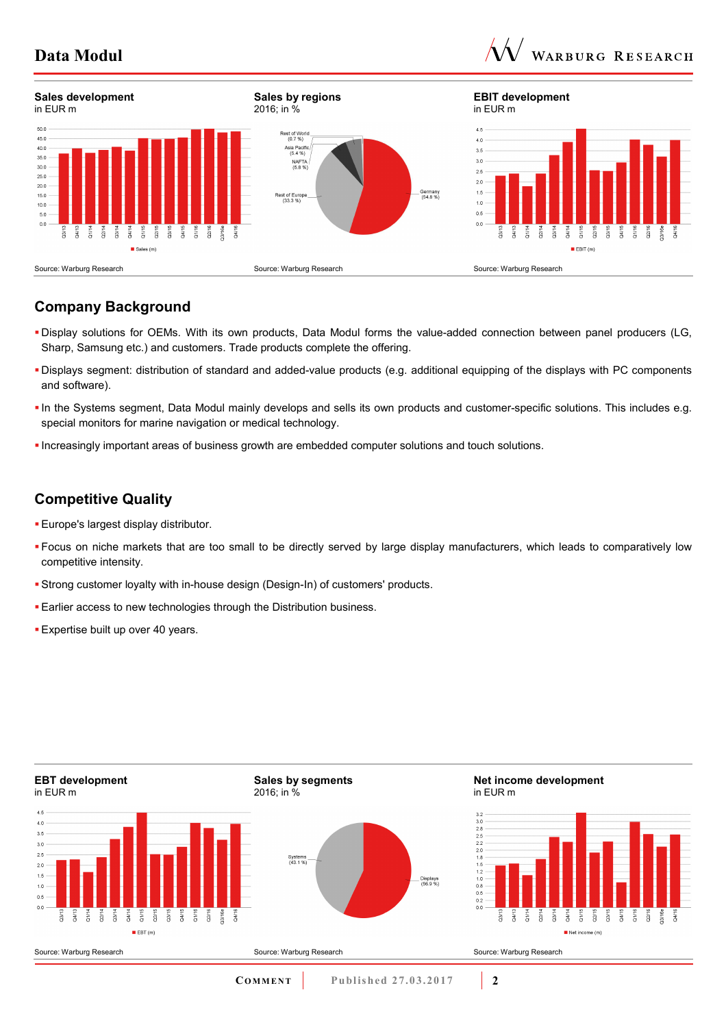



# **Company Background**

- Display solutions for OEMs. With its own products, Data Modul forms the value-added connection between panel producers (LG, Sharp, Samsung etc.) and customers. Trade products complete the offering.
- Displays segment: distribution of standard and added-value products (e.g. additional equipping of the displays with PC components and software).
- In the Systems segment, Data Modul mainly develops and sells its own products and customer-specific solutions. This includes e.g. special monitors for marine navigation or medical technology.
- Increasingly important areas of business growth are embedded computer solutions and touch solutions.

## **Competitive Quality**

- **Europe's largest display distributor.**
- Focus on niche markets that are too small to be directly served by large display manufacturers, which leads to comparatively low competitive intensity.
- Strong customer loyalty with in-house design (Design-In) of customers' products.
- **Earlier access to new technologies through the Distribution business.**
- **Expertise built up over 40 years.**

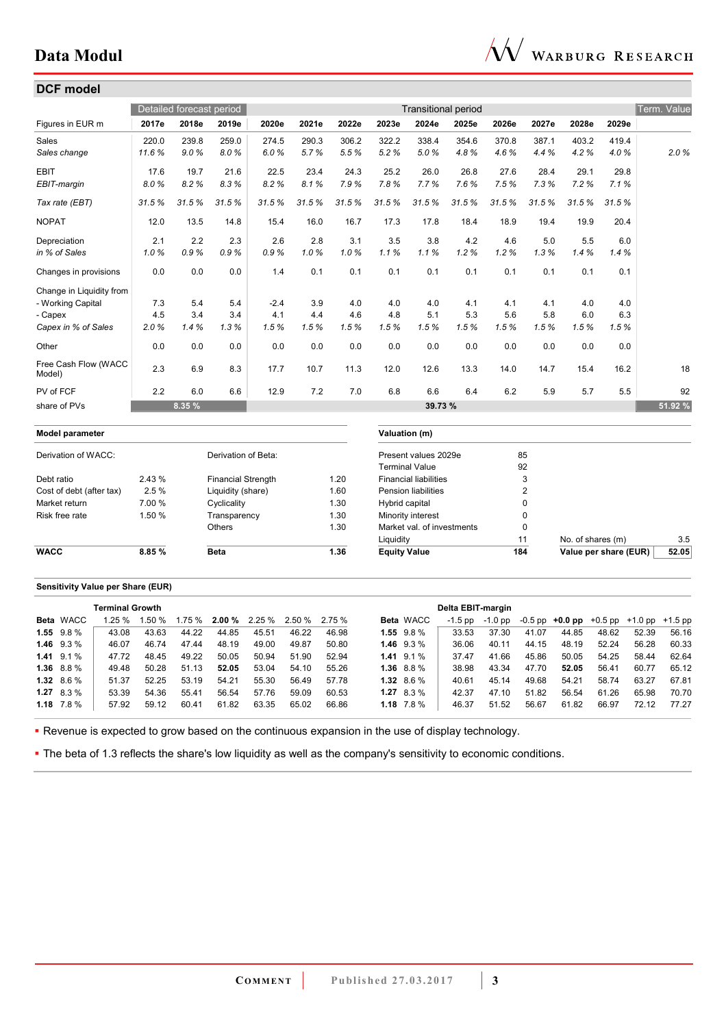

|                                |        | Detailed forecast period |                           |        |       |       |                     | <b>Transitional period</b>   |       |       |                |                       |       | Term. Value |
|--------------------------------|--------|--------------------------|---------------------------|--------|-------|-------|---------------------|------------------------------|-------|-------|----------------|-----------------------|-------|-------------|
| Figures in EUR m               | 2017e  | 2018e                    | 2019e                     | 2020e  | 2021e | 2022e | 2023e               | 2024e                        | 2025e | 2026e | 2027e          | 2028e                 | 2029e |             |
| Sales                          | 220.0  | 239.8                    | 259.0                     | 274.5  | 290.3 | 306.2 | 322.2               | 338.4                        | 354.6 | 370.8 | 387.1          | 403.2                 | 419.4 |             |
| Sales change                   | 11.6%  | 9.0%                     | 8.0%                      | 6.0%   | 5.7%  | 5.5%  | 5.2%                | 5.0%                         | 4.8%  | 4.6%  | 4.4%           | 4.2%                  | 4.0%  | 2.0%        |
| <b>EBIT</b>                    | 17.6   | 19.7                     | 21.6                      | 22.5   | 23.4  | 24.3  | 25.2                | 26.0                         | 26.8  | 27.6  | 28.4           | 29.1                  | 29.8  |             |
| EBIT-margin                    | 8.0%   | 8.2%                     | 8.3%                      | 8.2%   | 8.1%  | 7.9%  | 7.8%                | 7.7%                         | 7.6%  | 7.5%  | 7.3%           | 7.2%                  | 7.1%  |             |
| Tax rate (EBT)                 | 31.5%  | 31.5%                    | 31.5%                     | 31.5%  | 31.5% | 31.5% | 31.5%               | 31.5%                        | 31.5% | 31.5% | 31.5%          | 31.5%                 | 31.5% |             |
| <b>NOPAT</b>                   | 12.0   | 13.5                     | 14.8                      | 15.4   | 16.0  | 16.7  | 17.3                | 17.8                         | 18.4  | 18.9  | 19.4           | 19.9                  | 20.4  |             |
| Depreciation                   | 2.1    | 2.2                      | 2.3                       | 2.6    | 2.8   | 3.1   | 3.5                 | 3.8                          | 4.2   | 4.6   | 5.0            | 5.5                   | 6.0   |             |
| in % of Sales                  | 1.0%   | 0.9%                     | 0.9%                      | 0.9%   | 1.0%  | 1.0%  | 1.1%                | 1.1%                         | 1.2%  | 1.2%  | 1.3%           | 1.4%                  | 1.4%  |             |
| Changes in provisions          | 0.0    | 0.0                      | 0.0                       | 1.4    | 0.1   | 0.1   | 0.1                 | 0.1                          | 0.1   | 0.1   | 0.1            | 0.1                   | 0.1   |             |
| Change in Liquidity from       |        |                          |                           |        |       |       |                     |                              |       |       |                |                       |       |             |
| - Working Capital              | 7.3    | 5.4                      | 5.4                       | $-2.4$ | 3.9   | 4.0   | 4.0                 | 4.0                          | 4.1   | 4.1   | 4.1            | 4.0                   | 4.0   |             |
| - Capex                        | 4.5    | 3.4                      | 3.4                       | 4.1    | 4.4   | 4.6   | 4.8                 | 5.1                          | 5.3   | 5.6   | 5.8            | 6.0                   | 6.3   |             |
| Capex in % of Sales            | 2.0%   | 1.4%                     | 1.3%                      | 1.5%   | 1.5%  | 1.5%  | 1.5%                | 1.5%                         | 1.5%  | 1.5%  | 1.5%           | 1.5%                  | 1.5%  |             |
| Other                          | 0.0    | 0.0                      | $0.0\,$                   | 0.0    | 0.0   | 0.0   | 0.0                 | 0.0                          | 0.0   | 0.0   | 0.0            | 0.0                   | 0.0   |             |
| Free Cash Flow (WACC<br>Model) | 2.3    | 6.9                      | 8.3                       | 17.7   | 10.7  | 11.3  | 12.0                | 12.6                         | 13.3  | 14.0  | 14.7           | 15.4                  | 16.2  | 18          |
| PV of FCF                      | 2.2    | 6.0                      | 6.6                       | 12.9   | 7.2   | 7.0   | 6.8                 | 6.6                          | 6.4   | 6.2   | 5.9            | 5.7                   | 5.5   | 92          |
| share of PVs                   |        | 8.35 %                   |                           |        |       |       |                     | 39.73 %                      |       |       |                |                       |       | 51.92 %     |
| Model parameter                |        |                          |                           |        |       |       | Valuation (m)       |                              |       |       |                |                       |       |             |
| Derivation of WACC:            |        |                          | Derivation of Beta:       |        |       |       |                     | Present values 2029e         |       |       | 85             |                       |       |             |
|                                |        |                          |                           |        |       |       |                     | <b>Terminal Value</b>        |       |       | 92             |                       |       |             |
| Debt ratio                     | 2.43 % |                          | <b>Financial Strength</b> |        |       | 1.20  |                     | <b>Financial liabilities</b> |       |       | 3              |                       |       |             |
| Cost of debt (after tax)       | 2.5%   |                          | Liquidity (share)         |        |       | 1.60  |                     | <b>Pension liabilities</b>   |       |       | $\overline{2}$ |                       |       |             |
| Market return                  | 7.00 % |                          | Cyclicality               |        |       | 1.30  | Hybrid capital      |                              |       |       | 0              |                       |       |             |
| Risk free rate                 | 1.50 % |                          | Transparency              |        |       | 1.30  |                     | Minority interest            |       |       | 0              |                       |       |             |
|                                |        |                          | Others                    |        |       | 1.30  |                     | Market val. of investments   |       |       | $\mathbf 0$    |                       |       |             |
|                                |        |                          |                           |        |       |       | Liquidity           |                              |       |       | 11             | No. of shares (m)     |       | 3.5         |
| <b>WACC</b>                    | 8.85 % |                          | <b>Beta</b>               |        |       | 1.36  | <b>Equity Value</b> |                              |       | 184   |                | Value per share (EUR) |       | 52.05       |

#### **Sensitivity Value per Share (EUR)**

| <b>Terminal Growth</b> |                  |       |       |       |       |       | Delta EBIT-margin             |          |                |                  |         |         |       |       |                                                   |       |       |
|------------------------|------------------|-------|-------|-------|-------|-------|-------------------------------|----------|----------------|------------------|---------|---------|-------|-------|---------------------------------------------------|-------|-------|
|                        | <b>Beta WACC</b> | 1.25% | 1.50% |       |       |       | $1.75\%$ 2.00 % 2.25 % 2.50 % | $2.75\%$ |                | <b>Beta</b> WACC | -1.5 pp | -1.0 pp |       |       | $-0.5$ pp $+0.0$ pp $+0.5$ pp $+1.0$ pp $+1.5$ pp |       |       |
|                        | $1.55$ $9.8\%$   | 43.08 | 43.63 | 44.22 | 44.85 | 45.51 | 46.22                         | 46.98    | $1.55$ $9.8\%$ |                  | 33.53   | 37.30   | 41.07 | 44.85 | 48.62                                             | 52.39 | 56.16 |
|                        | 1.46 $9.3\%$     | 46.07 | 46.74 | 47.44 | 48.19 | 49.00 | 49.87                         | 50.80    | 1.46 $9.3\%$   |                  | 36.06   | 40.11   | 44.15 | 48.19 | 52.24                                             | 56.28 | 60.33 |
|                        | $1.41$ 9.1 %     | 47.72 | 48.45 | 49.22 | 50.05 | 50.94 | 51.90                         | 52.94    | $1.41$ 9.1 %   |                  | 37.47   | 41.66   | 45.86 | 50.05 | 54.25                                             | 58.44 | 62.64 |
|                        | $1.36$ 8.8 %     | 49.48 | 50.28 | 51.13 | 52.05 | 53.04 | 54.10                         | 55.26    | 1.36 $8.8\%$   |                  | 38.98   | 43.34   | 47.70 | 52.05 | 56.41                                             | 60.77 | 65.12 |
|                        | $1.32$ 8.6 %     | 51.37 | 52.25 | 53.19 | 54.21 | 55.30 | 56.49                         | 57.78    | $1.32$ 8.6 %   |                  | 40.61   | 45.14   | 49.68 | 54.21 | 58.74                                             | 63.27 | 67.81 |
|                        | $1.27$ 8.3 %     | 53.39 | 54.36 | 55.41 | 56.54 | 57.76 | 59.09                         | 60.53    | $1.27$ 8.3 %   |                  | 42.37   | 47.10   | 51.82 | 56.54 | 61.26                                             | 65.98 | 70.70 |
|                        | $1.18$ $7.8\%$   | 57.92 | 59.12 | 60.41 | 61.82 | 63.35 | 65.02                         | 66.86    | $1.18$ $7.8\%$ |                  | 46.37   | 51.52   | 56.67 | 61.82 | 66.97                                             | 72.12 | 77.27 |

Revenue is expected to grow based on the continuous expansion in the use of display technology.

The beta of 1.3 reflects the share's low liquidity as well as the company's sensitivity to economic conditions.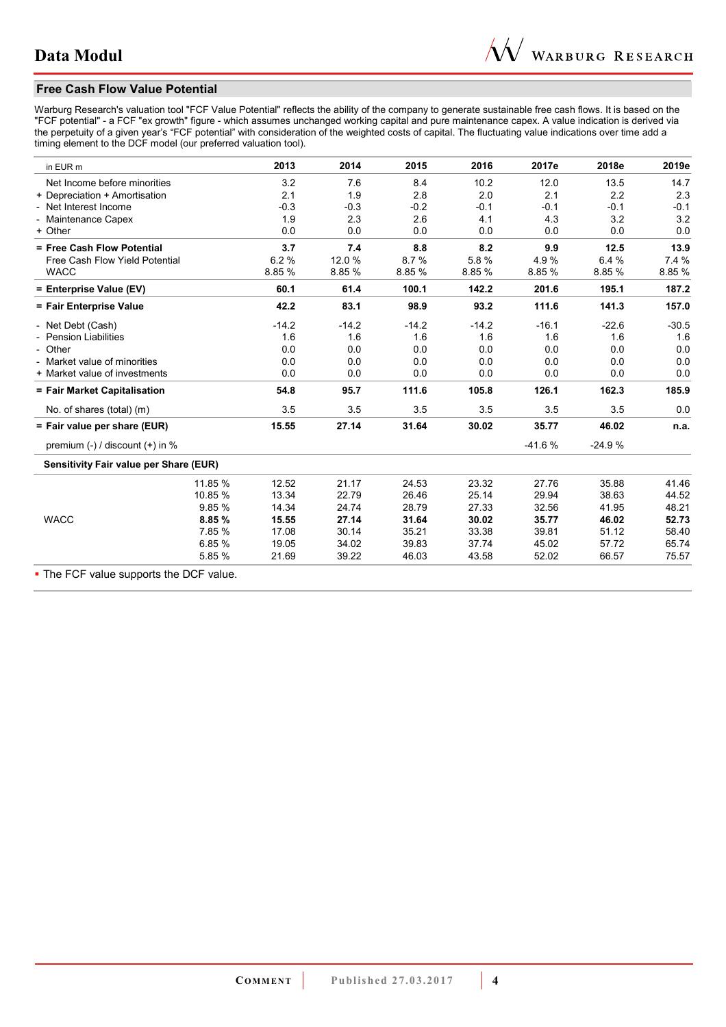## **Free Cash Flow Value Potential**

Warburg Research's valuation tool "FCF Value Potential" reflects the ability of the company to generate sustainable free cash flows. It is based on the "FCF potential" - a FCF "ex growth" figure - which assumes unchanged working capital and pure maintenance capex. A value indication is derived via the perpetuity of a given year's "FCF potential" with consideration of the weighted costs of capital. The fluctuating value indications over time add a timing element to the DCF model (our preferred valuation tool).

| in EUR m                               | 2013             | 2014    | 2015    | 2016    | 2017e    | 2018e    | 2019e   |
|----------------------------------------|------------------|---------|---------|---------|----------|----------|---------|
| Net Income before minorities           | 3.2              | 7.6     | 8.4     | 10.2    | 12.0     | 13.5     | 14.7    |
| + Depreciation + Amortisation          | 2.1              | 1.9     | 2.8     | 2.0     | 2.1      | 2.2      | 2.3     |
| - Net Interest Income                  | $-0.3$           | $-0.3$  | $-0.2$  | $-0.1$  | $-0.1$   | $-0.1$   | $-0.1$  |
| - Maintenance Capex                    | 1.9              | 2.3     | 2.6     | 4.1     | 4.3      | 3.2      | 3.2     |
| + Other                                | 0.0              | 0.0     | 0.0     | 0.0     | 0.0      | 0.0      | 0.0     |
| = Free Cash Flow Potential             | 3.7              | 7.4     | 8.8     | 8.2     | 9.9      | 12.5     | 13.9    |
| Free Cash Flow Yield Potential         | 6.2%             | 12.0 %  | 8.7%    | 5.8%    | 4.9%     | 6.4 %    | 7.4 %   |
| <b>WACC</b>                            | 8.85 %           | 8.85 %  | 8.85 %  | 8.85 %  | 8.85 %   | 8.85 %   | 8.85%   |
| = Enterprise Value (EV)                | 60.1             | 61.4    | 100.1   | 142.2   | 201.6    | 195.1    | 187.2   |
| = Fair Enterprise Value                | 42.2             | 83.1    | 98.9    | 93.2    | 111.6    | 141.3    | 157.0   |
| - Net Debt (Cash)                      | $-14.2$          | $-14.2$ | $-14.2$ | $-14.2$ | $-16.1$  | $-22.6$  | $-30.5$ |
| - Pension Liabilities                  | 1.6              | 1.6     | 1.6     | 1.6     | 1.6      | 1.6      | 1.6     |
| - Other                                | 0.0              | 0.0     | 0.0     | 0.0     | 0.0      | 0.0      | 0.0     |
| - Market value of minorities           | 0.0              | 0.0     | 0.0     | 0.0     | 0.0      | 0.0      | 0.0     |
| + Market value of investments          | 0.0              | 0.0     | 0.0     | 0.0     | 0.0      | 0.0      | 0.0     |
| = Fair Market Capitalisation           | 54.8             | 95.7    | 111.6   | 105.8   | 126.1    | 162.3    | 185.9   |
| No. of shares (total) (m)              | 3.5              | 3.5     | 3.5     | 3.5     | 3.5      | 3.5      | 0.0     |
| = Fair value per share (EUR)           | 15.55            | 27.14   | 31.64   | 30.02   | 35.77    | 46.02    | n.a.    |
| premium $(-)$ / discount $(+)$ in %    |                  |         |         |         | $-41.6%$ | $-24.9%$ |         |
| Sensitivity Fair value per Share (EUR) |                  |         |         |         |          |          |         |
|                                        | 11.85 %<br>12.52 | 21.17   | 24.53   | 23.32   | 27.76    | 35.88    | 41.46   |
|                                        | 10.85 %<br>13.34 | 22.79   | 26.46   | 25.14   | 29.94    | 38.63    | 44.52   |
|                                        | 9.85%<br>14.34   | 24.74   | 28.79   | 27.33   | 32.56    | 41.95    | 48.21   |
| <b>WACC</b>                            | 8.85%<br>15.55   | 27.14   | 31.64   | 30.02   | 35.77    | 46.02    | 52.73   |
|                                        | 7.85%<br>17.08   | 30.14   | 35.21   | 33.38   | 39.81    | 51.12    | 58.40   |
|                                        | 6.85%<br>19.05   | 34.02   | 39.83   | 37.74   | 45.02    | 57.72    | 65.74   |
|                                        | 5.85%<br>21.69   | 39.22   | 46.03   | 43.58   | 52.02    | 66.57    | 75.57   |

• The FCF value supports the DCF value.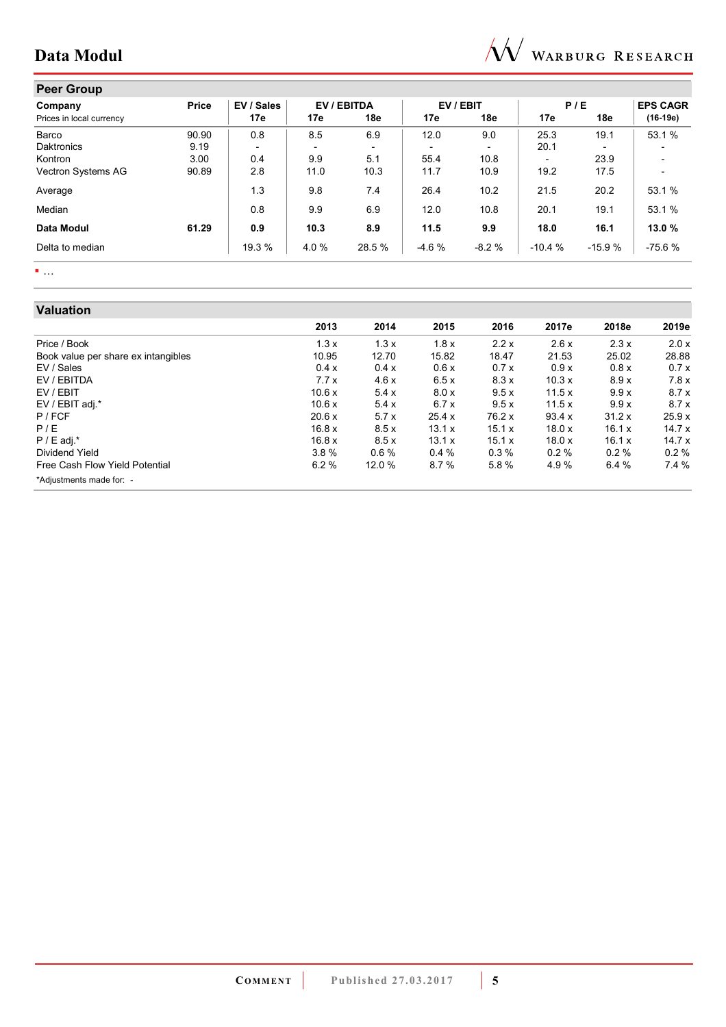

# **Peer Group**

| .<br>Company             | Price | EV / Sales |      | EV / EBITDA              |         | EV / EBIT |                          | P/E      | <b>EPS CAGR</b>          |
|--------------------------|-------|------------|------|--------------------------|---------|-----------|--------------------------|----------|--------------------------|
| Prices in local currency |       | 17e        | 17e  | 18e                      | 17e     | 18e       | 17e                      | 18e      | $(16-19e)$               |
| Barco                    | 90.90 | 0.8        | 8.5  | 6.9                      | 12.0    | 9.0       | 25.3                     | 19.1     | 53.1%                    |
| <b>Daktronics</b>        | 9.19  |            |      | $\overline{\phantom{0}}$ |         |           | 20.1                     |          |                          |
| Kontron                  | 3.00  | 0.4        | 9.9  | 5.1                      | 55.4    | 10.8      | $\overline{\phantom{0}}$ | 23.9     |                          |
| Vectron Systems AG       | 90.89 | 2.8        | 11.0 | 10.3                     | 11.7    | 10.9      | 19.2                     | 17.5     | $\overline{\phantom{0}}$ |
| Average                  |       | 1.3        | 9.8  | 7.4                      | 26.4    | 10.2      | 21.5                     | 20.2     | 53.1%                    |
| Median                   |       | 0.8        | 9.9  | 6.9                      | 12.0    | 10.8      | 20.1                     | 19.1     | 53.1 %                   |
| Data Modul               | 61.29 | 0.9        | 10.3 | 8.9                      | 11.5    | 9.9       | 18.0                     | 16.1     | 13.0%                    |
| Delta to median          |       | 19.3 %     | 4.0% | 28.5 %                   | $-4.6%$ | $-8.2%$   | $-10.4%$                 | $-15.9%$ | $-75.6%$                 |

 $\blacksquare$  .  $\blacksquare$ 

# **Valuation**

| Valuation                           |        |         |        |         |        |        |       |
|-------------------------------------|--------|---------|--------|---------|--------|--------|-------|
|                                     | 2013   | 2014    | 2015   | 2016    | 2017e  | 2018e  | 2019e |
| Price / Book                        | 1.3x   | 1.3x    | 1.8x   | 2.2x    | 2.6x   | 2.3x   | 2.0 x |
| Book value per share ex intangibles | 10.95  | 12.70   | 15.82  | 18.47   | 21.53  | 25.02  | 28.88 |
| EV / Sales                          | 0.4 x  | 0.4x    | 0.6x   | 0.7x    | 0.9x   | 0.8 x  | 0.7x  |
| EV / EBITDA                         | 7.7x   | 4.6x    | 6.5x   | 8.3x    | 10.3x  | 8.9x   | 7.8x  |
| EV / EBIT                           | 10.6 x | 5.4x    | 8.0 x  | 9.5x    | 11.5x  | 9.9x   | 8.7x  |
| EV / EBIT adj.*                     | 10.6 x | 5.4x    | 6.7x   | 9.5x    | 11.5x  | 9.9x   | 8.7x  |
| P / FCF                             | 20.6 x | 5.7x    | 25.4x  | 76.2 x  | 93.4 x | 31.2 x | 25.9x |
| P/E                                 | 16.8 x | 8.5x    | 13.1 x | 15.1 x  | 18.0x  | 16.1 x | 14.7x |
| $P / E$ adj.*                       | 16.8 x | 8.5x    | 13.1 x | 15.1x   | 18.0x  | 16.1 x | 14.7x |
| Dividend Yield                      | 3.8%   | $0.6\%$ | 0.4%   | $0.3\%$ | 0.2%   | 0.2%   | 0.2%  |
| Free Cash Flow Yield Potential      | 6.2%   | 12.0 %  | 8.7%   | 5.8%    | 4.9%   | 6.4%   | 7.4%  |
| *Adjustments made for: -            |        |         |        |         |        |        |       |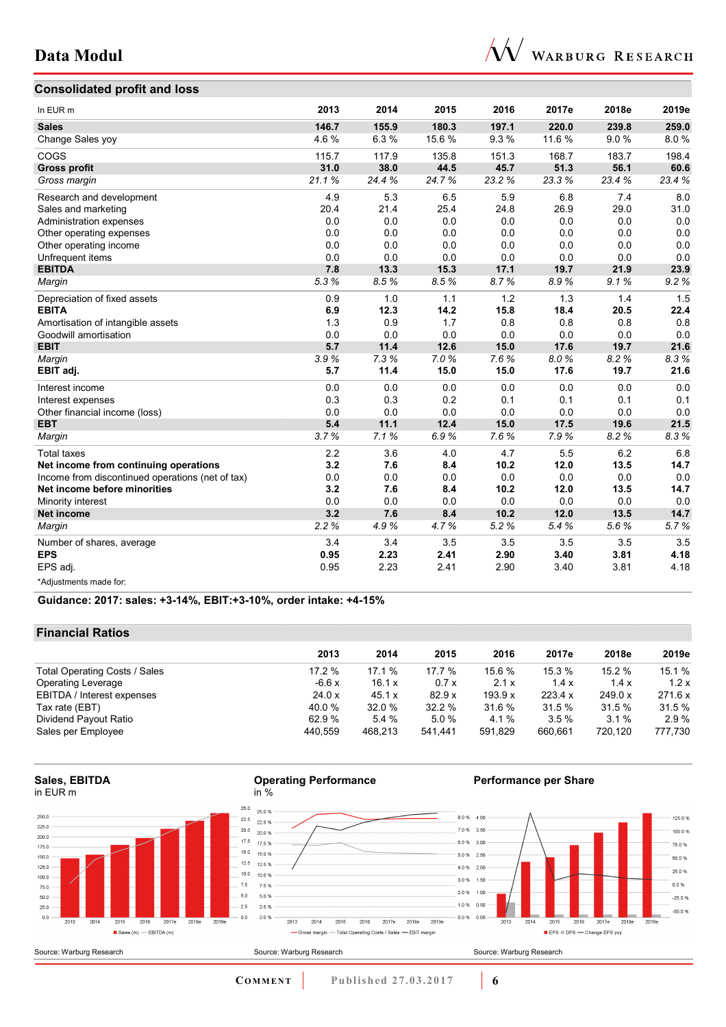

# **Consolidated profit and loss**

| In EUR m                                         | 2013  | 2014  | 2015  | 2016    | 2017e  | 2018e | 2019e |
|--------------------------------------------------|-------|-------|-------|---------|--------|-------|-------|
| <b>Sales</b>                                     | 146.7 | 155.9 | 180.3 | 197.1   | 220.0  | 239.8 | 259.0 |
| Change Sales yoy                                 | 4.6%  | 6.3%  | 15.6% | 9.3%    | 11.6 % | 9.0%  | 8.0%  |
| COGS                                             | 115.7 | 117.9 | 135.8 | 151.3   | 168.7  | 183.7 | 198.4 |
| <b>Gross profit</b>                              | 31.0  | 38.0  | 44.5  | 45.7    | 51.3   | 56.1  | 60.6  |
| Gross margin                                     | 21.1% | 24.4% | 24.7% | 23.2%   | 23.3%  | 23.4% | 23.4% |
| Research and development                         | 4.9   | 5.3   | 6.5   | 5.9     | 6.8    | 7.4   | 8.0   |
| Sales and marketing                              | 20.4  | 21.4  | 25.4  | 24.8    | 26.9   | 29.0  | 31.0  |
| Administration expenses                          | 0.0   | 0.0   | 0.0   | 0.0     | 0.0    | 0.0   | 0.0   |
| Other operating expenses                         | 0.0   | 0.0   | 0.0   | 0.0     | 0.0    | 0.0   | 0.0   |
| Other operating income                           | 0.0   | 0.0   | 0.0   | $0.0\,$ | 0.0    | 0.0   | 0.0   |
| Unfrequent items                                 | 0.0   | 0.0   | 0.0   | 0.0     | 0.0    | 0.0   | 0.0   |
| <b>EBITDA</b>                                    | 7.8   | 13.3  | 15.3  | 17.1    | 19.7   | 21.9  | 23.9  |
| Margin                                           | 5.3%  | 8.5%  | 8.5%  | 8.7%    | 8.9%   | 9.1%  | 9.2%  |
| Depreciation of fixed assets                     | 0.9   | 1.0   | 1.1   | 1.2     | 1.3    | 1.4   | 1.5   |
| <b>EBITA</b>                                     | 6.9   | 12.3  | 14.2  | 15.8    | 18.4   | 20.5  | 22.4  |
| Amortisation of intangible assets                | 1.3   | 0.9   | 1.7   | 0.8     | 0.8    | 0.8   | 0.8   |
| Goodwill amortisation                            | 0.0   | 0.0   | 0.0   | 0.0     | 0.0    | 0.0   | 0.0   |
| <b>EBIT</b>                                      | 5.7   | 11.4  | 12.6  | 15.0    | 17.6   | 19.7  | 21.6  |
| Margin                                           | 3.9%  | 7.3%  | 7.0%  | 7.6%    | 8.0%   | 8.2%  | 8.3%  |
| EBIT adj.                                        | 5.7   | 11.4  | 15.0  | 15.0    | 17.6   | 19.7  | 21.6  |
| Interest income                                  | 0.0   | 0.0   | 0.0   | 0.0     | 0.0    | 0.0   | 0.0   |
| Interest expenses                                | 0.3   | 0.3   | 0.2   | 0.1     | 0.1    | 0.1   | 0.1   |
| Other financial income (loss)                    | 0.0   | 0.0   | 0.0   | 0.0     | 0.0    | 0.0   | 0.0   |
| <b>EBT</b>                                       | 5.4   | 11.1  | 12.4  | 15.0    | 17.5   | 19.6  | 21.5  |
| Margin                                           | 3.7%  | 7.1%  | 6.9%  | 7.6%    | 7.9%   | 8.2%  | 8.3%  |
| <b>Total taxes</b>                               | 2.2   | 3.6   | 4.0   | 4.7     | 5.5    | 6.2   | 6.8   |
| Net income from continuing operations            | 3.2   | 7.6   | 8.4   | 10.2    | 12.0   | 13.5  | 14.7  |
| Income from discontinued operations (net of tax) | 0.0   | 0.0   | 0.0   | 0.0     | 0.0    | 0.0   | 0.0   |
| Net income before minorities                     | 3.2   | 7.6   | 8.4   | 10.2    | 12.0   | 13.5  | 14.7  |
| Minority interest                                | 0.0   | 0.0   | 0.0   | 0.0     | 0.0    | 0.0   | 0.0   |
| <b>Net income</b>                                | 3.2   | 7.6   | 8.4   | 10.2    | 12.0   | 13.5  | 14.7  |
| Margin                                           | 2.2%  | 4.9%  | 4.7%  | 5.2%    | 5.4%   | 5.6%  | 5.7%  |
| Number of shares, average                        | 3.4   | 3.4   | 3.5   | 3.5     | 3.5    | 3.5   | 3.5   |
| <b>EPS</b>                                       | 0.95  | 2.23  | 2.41  | 2.90    | 3.40   | 3.81  | 4.18  |
| EPS adj.                                         | 0.95  | 2.23  | 2.41  | 2.90    | 3.40   | 3.81  | 4.18  |
| *Adjustments made for:                           |       |       |       |         |        |       |       |

**Guidance: 2017: sales: +3-14%, EBIT:+3-10%, order intake: +4-15%**

#### **Financial Ratios**

|                               | 2013     | 2014    | 2015    | 2016    | 2017e   | 2018e   | 2019e   |
|-------------------------------|----------|---------|---------|---------|---------|---------|---------|
| Total Operating Costs / Sales | $17.2\%$ | 17.1%   | 17.7 %  | 15.6 %  | 15.3 %  | 15.2%   | 15.1 %  |
| <b>Operating Leverage</b>     | $-6.6x$  | 16.1 x  | 0.7x    | 2.1x    | 1.4x    | 1.4x    | 1.2x    |
| EBITDA / Interest expenses    | 24.0 x   | 45.1 x  | 82.9x   | 193.9 x | 223.4 x | 249.0 x | 271.6 x |
| Tax rate (EBT)                | 40.0 %   | 32.0%   | 32.2%   | 31.6 %  | 31.5%   | 31.5%   | 31.5 %  |
| Dividend Payout Ratio         | 62.9%    | 5.4%    | 5.0%    | 4.1 %   | $3.5\%$ | $3.1\%$ | 2.9%    |
| Sales per Employee            | 440.559  | 468.213 | 541.441 | 591.829 | 660.661 | 720.120 | 777,730 |

**Operating Performance** 

**Sales, EBITDA**  in EUR m



in %

**Performance per Share** 

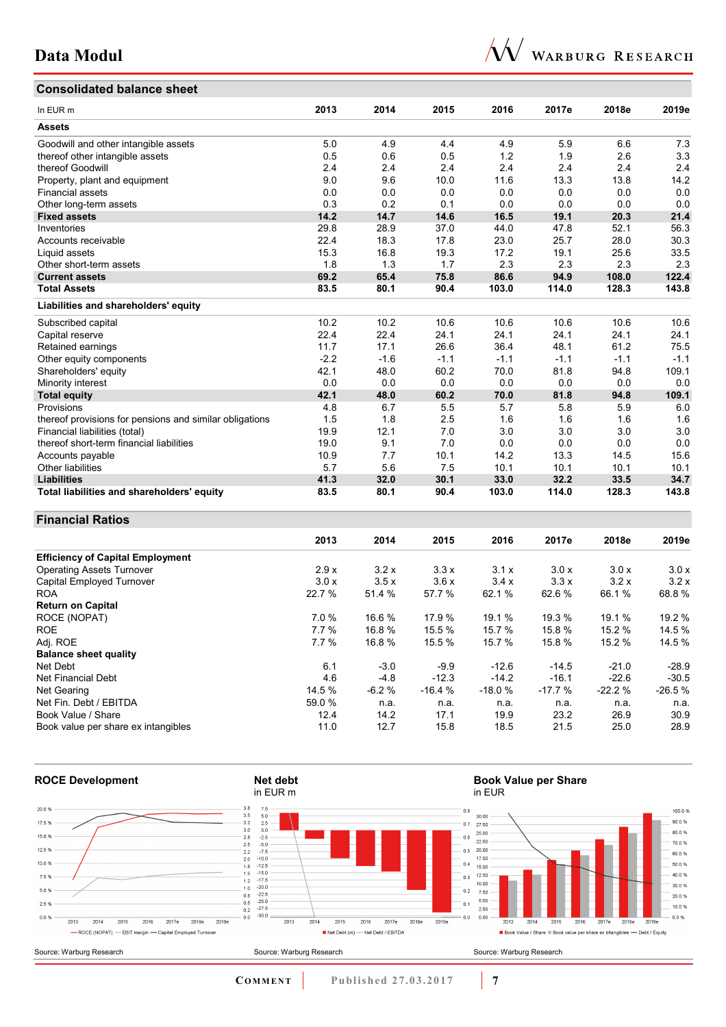

# **Consolidated balance sheet**

| In EUR <sub>m</sub>                                     | 2013   | 2014   | 2015   | 2016   | 2017e  | 2018e  | 2019e  |
|---------------------------------------------------------|--------|--------|--------|--------|--------|--------|--------|
| <b>Assets</b>                                           |        |        |        |        |        |        |        |
| Goodwill and other intangible assets                    | 5.0    | 4.9    | 4.4    | 4.9    | 5.9    | 6.6    | 7.3    |
| thereof other intangible assets                         | 0.5    | 0.6    | 0.5    | 1.2    | 1.9    | 2.6    | 3.3    |
| thereof Goodwill                                        | 2.4    | 2.4    | 2.4    | 2.4    | 2.4    | 2.4    | 2.4    |
| Property, plant and equipment                           | 9.0    | 9.6    | 10.0   | 11.6   | 13.3   | 13.8   | 14.2   |
| <b>Financial assets</b>                                 | 0.0    | 0.0    | 0.0    | 0.0    | 0.0    | 0.0    | 0.0    |
| Other long-term assets                                  | 0.3    | 0.2    | 0.1    | 0.0    | 0.0    | 0.0    | 0.0    |
| <b>Fixed assets</b>                                     | 14.2   | 14.7   | 14.6   | 16.5   | 19.1   | 20.3   | 21.4   |
| Inventories                                             | 29.8   | 28.9   | 37.0   | 44.0   | 47.8   | 52.1   | 56.3   |
| Accounts receivable                                     | 22.4   | 18.3   | 17.8   | 23.0   | 25.7   | 28.0   | 30.3   |
| Liquid assets                                           | 15.3   | 16.8   | 19.3   | 17.2   | 19.1   | 25.6   | 33.5   |
| Other short-term assets                                 | 1.8    | 1.3    | 1.7    | 2.3    | 2.3    | 2.3    | 2.3    |
| <b>Current assets</b>                                   | 69.2   | 65.4   | 75.8   | 86.6   | 94.9   | 108.0  | 122.4  |
| <b>Total Assets</b>                                     | 83.5   | 80.1   | 90.4   | 103.0  | 114.0  | 128.3  | 143.8  |
| Liabilities and shareholders' equity                    |        |        |        |        |        |        |        |
| Subscribed capital                                      | 10.2   | 10.2   | 10.6   | 10.6   | 10.6   | 10.6   | 10.6   |
| Capital reserve                                         | 22.4   | 22.4   | 24.1   | 24.1   | 24.1   | 24.1   | 24.1   |
| Retained earnings                                       | 11.7   | 17.1   | 26.6   | 36.4   | 48.1   | 61.2   | 75.5   |
| Other equity components                                 | $-2.2$ | $-1.6$ | $-1.1$ | $-1.1$ | $-1.1$ | $-1.1$ | $-1.1$ |
| Shareholders' equity                                    | 42.1   | 48.0   | 60.2   | 70.0   | 81.8   | 94.8   | 109.1  |
| Minority interest                                       | 0.0    | 0.0    | 0.0    | 0.0    | 0.0    | 0.0    | 0.0    |
| <b>Total equity</b>                                     | 42.1   | 48.0   | 60.2   | 70.0   | 81.8   | 94.8   | 109.1  |
| Provisions                                              | 4.8    | 6.7    | 5.5    | 5.7    | 5.8    | 5.9    | 6.0    |
| thereof provisions for pensions and similar obligations | 1.5    | 1.8    | 2.5    | 1.6    | 1.6    | 1.6    | 1.6    |
| Financial liabilities (total)                           | 19.9   | 12.1   | 7.0    | 3.0    | 3.0    | 3.0    | 3.0    |
| thereof short-term financial liabilities                | 19.0   | 9.1    | 7.0    | 0.0    | 0.0    | 0.0    | 0.0    |
| Accounts payable                                        | 10.9   | 7.7    | 10.1   | 14.2   | 13.3   | 14.5   | 15.6   |
| <b>Other liabilities</b>                                | 5.7    | 5.6    | 7.5    | 10.1   | 10.1   | 10.1   | 10.1   |
| <b>Liabilities</b>                                      | 41.3   | 32.0   | 30.1   | 33.0   | 32.2   | 33.5   | 34.7   |
| Total liabilities and shareholders' equity              | 83.5   | 80.1   | 90.4   | 103.0  | 114.0  | 128.3  | 143.8  |

## **Financial Ratios**

|                                         | 2013   | 2014    | 2015     | 2016     | 2017e    | 2018e    | 2019e    |
|-----------------------------------------|--------|---------|----------|----------|----------|----------|----------|
| <b>Efficiency of Capital Employment</b> |        |         |          |          |          |          |          |
| <b>Operating Assets Turnover</b>        | 2.9x   | 3.2x    | 3.3x     | 3.1x     | 3.0x     | 3.0x     | 3.0x     |
| Capital Employed Turnover               | 3.0x   | 3.5x    | 3.6x     | 3.4x     | 3.3x     | 3.2x     | 3.2x     |
| <b>ROA</b>                              | 22.7 % | 51.4 %  | 57.7 %   | 62.1%    | 62.6%    | 66.1 %   | 68.8%    |
| <b>Return on Capital</b>                |        |         |          |          |          |          |          |
| ROCE (NOPAT)                            | 7.0%   | 16.6 %  | 17.9%    | 19.1 %   | 19.3 %   | 19.1 %   | 19.2 %   |
| <b>ROE</b>                              | 7.7%   | 16.8%   | 15.5 %   | 15.7 %   | 15.8%    | 15.2 %   | 14.5 %   |
| Adj. ROE                                | 7.7%   | 16.8%   | 15.5%    | 15.7 %   | 15.8%    | 15.2 %   | 14.5 %   |
| <b>Balance sheet quality</b>            |        |         |          |          |          |          |          |
| Net Debt                                | 6.1    | $-3.0$  | $-9.9$   | $-12.6$  | $-14.5$  | $-21.0$  | $-28.9$  |
| Net Financial Debt                      | 4.6    | $-4.8$  | $-12.3$  | $-14.2$  | $-16.1$  | $-22.6$  | $-30.5$  |
| <b>Net Gearing</b>                      | 14.5 % | $-6.2%$ | $-16.4%$ | $-18.0%$ | $-17.7%$ | $-22.2%$ | $-26.5%$ |
| Net Fin. Debt / EBITDA                  | 59.0 % | n.a.    | n.a.     | n.a.     | n.a.     | n.a.     | n.a.     |
| Book Value / Share                      | 12.4   | 14.2    | 17.1     | 19.9     | 23.2     | 26.9     | 30.9     |
| Book value per share ex intangibles     | 11.0   | 12.7    | 15.8     | 18.5     | 21.5     | 25.0     | 28.9     |

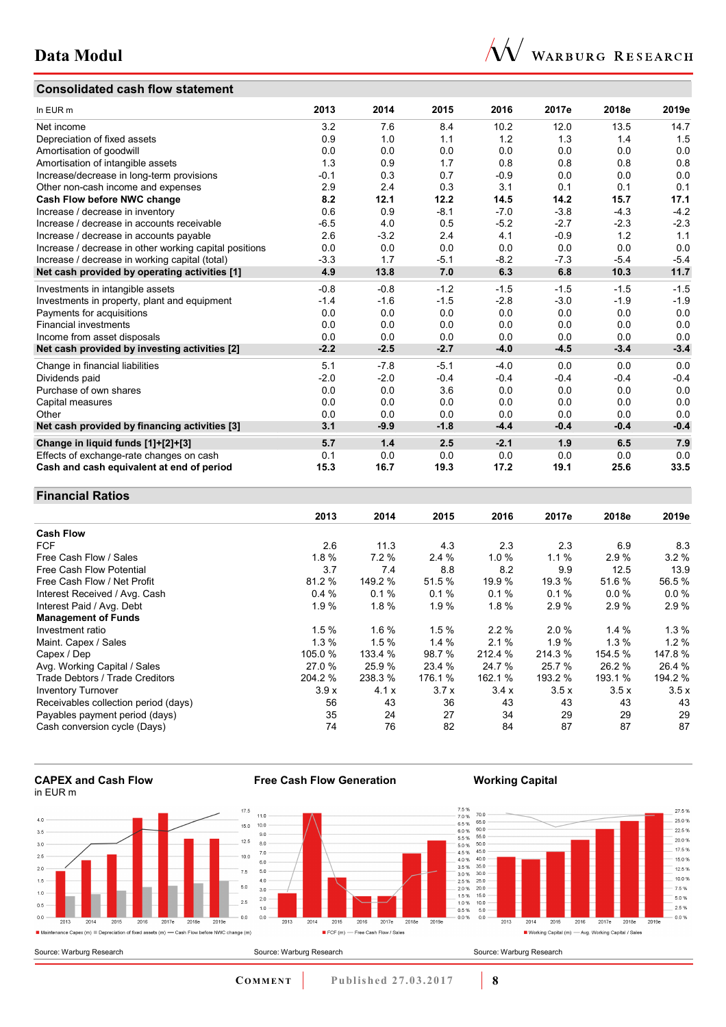## **Consolidated cash flow statement**



| In EUR m                                               | 2013   | 2014   | 2015   | 2016   | 2017e  | 2018e  | 2019e  |
|--------------------------------------------------------|--------|--------|--------|--------|--------|--------|--------|
| Net income                                             | 3.2    | 7.6    | 8.4    | 10.2   | 12.0   | 13.5   | 14.7   |
| Depreciation of fixed assets                           | 0.9    | 1.0    | 1.1    | 1.2    | 1.3    | 1.4    | 1.5    |
| Amortisation of goodwill                               | 0.0    | 0.0    | 0.0    | 0.0    | 0.0    | 0.0    | 0.0    |
| Amortisation of intangible assets                      | 1.3    | 0.9    | 1.7    | 0.8    | 0.8    | 0.8    | 0.8    |
| Increase/decrease in long-term provisions              | $-0.1$ | 0.3    | 0.7    | $-0.9$ | 0.0    | 0.0    | 0.0    |
| Other non-cash income and expenses                     | 2.9    | 2.4    | 0.3    | 3.1    | 0.1    | 0.1    | 0.1    |
| Cash Flow before NWC change                            | 8.2    | 12.1   | 12.2   | 14.5   | 14.2   | 15.7   | 17.1   |
| Increase / decrease in inventory                       | 0.6    | 0.9    | $-8.1$ | $-7.0$ | $-3.8$ | $-4.3$ | $-4.2$ |
| Increase / decrease in accounts receivable             | $-6.5$ | 4.0    | 0.5    | $-5.2$ | $-2.7$ | $-2.3$ | $-2.3$ |
| Increase / decrease in accounts payable                | 2.6    | $-3.2$ | 2.4    | 4.1    | $-0.9$ | 1.2    | 1.1    |
| Increase / decrease in other working capital positions | 0.0    | 0.0    | 0.0    | 0.0    | 0.0    | 0.0    | 0.0    |
| Increase / decrease in working capital (total)         | $-3.3$ | 1.7    | $-5.1$ | $-8.2$ | $-7.3$ | $-5.4$ | $-5.4$ |
| Net cash provided by operating activities [1]          | 4.9    | 13.8   | 7.0    | 6.3    | 6.8    | 10.3   | 11.7   |
| Investments in intangible assets                       | $-0.8$ | $-0.8$ | $-1.2$ | $-1.5$ | $-1.5$ | $-1.5$ | $-1.5$ |
| Investments in property, plant and equipment           | $-1.4$ | $-1.6$ | $-1.5$ | $-2.8$ | $-3.0$ | $-1.9$ | $-1.9$ |
| Payments for acquisitions                              | 0.0    | 0.0    | 0.0    | 0.0    | 0.0    | 0.0    | 0.0    |
| <b>Financial investments</b>                           | 0.0    | 0.0    | 0.0    | 0.0    | 0.0    | 0.0    | 0.0    |
| Income from asset disposals                            | 0.0    | 0.0    | 0.0    | 0.0    | 0.0    | 0.0    | 0.0    |
| Net cash provided by investing activities [2]          | $-2.2$ | $-2.5$ | $-2.7$ | $-4.0$ | $-4.5$ | $-3.4$ | $-3.4$ |
| Change in financial liabilities                        | 5.1    | $-7.8$ | $-5.1$ | $-4.0$ | 0.0    | 0.0    | 0.0    |
| Dividends paid                                         | $-2.0$ | $-2.0$ | $-0.4$ | $-0.4$ | $-0.4$ | $-0.4$ | $-0.4$ |
| Purchase of own shares                                 | 0.0    | 0.0    | 3.6    | 0.0    | 0.0    | 0.0    | 0.0    |
| Capital measures                                       | 0.0    | 0.0    | 0.0    | 0.0    | 0.0    | 0.0    | 0.0    |
| Other                                                  | 0.0    | 0.0    | 0.0    | 0.0    | 0.0    | 0.0    | 0.0    |
| Net cash provided by financing activities [3]          | 3.1    | $-9.9$ | $-1.8$ | $-4.4$ | $-0.4$ | $-0.4$ | $-0.4$ |
| Change in liquid funds [1]+[2]+[3]                     | 5.7    | 1.4    | 2.5    | $-2.1$ | 1.9    | 6.5    | 7.9    |
| Effects of exchange-rate changes on cash               | 0.1    | 0.0    | 0.0    | 0.0    | 0.0    | 0.0    | 0.0    |
| Cash and cash equivalent at end of period              | 15.3   | 16.7   | 19.3   | 17.2   | 19.1   | 25.6   | 33.5   |

## **Financial Ratios**

|                                      | 2013    | 2014    | 2015     | 2016     | 2017e   | 2018e   | 2019e   |
|--------------------------------------|---------|---------|----------|----------|---------|---------|---------|
| <b>Cash Flow</b>                     |         |         |          |          |         |         |         |
| <b>FCF</b>                           | 2.6     | 11.3    | 4.3      | 2.3      | 2.3     | 6.9     | 8.3     |
| Free Cash Flow / Sales               | 1.8%    | 7.2%    | 2.4%     | $1.0 \%$ | 1.1%    | 2.9%    | 3.2%    |
| Free Cash Flow Potential             | 3.7     | 7.4     | 8.8      | 8.2      | 9.9     | 12.5    | 13.9    |
| Free Cash Flow / Net Profit          | 81.2 %  | 149.2 % | 51.5 %   | 19.9 %   | 19.3 %  | 51.6%   | 56.5%   |
| Interest Received / Avg. Cash        | 0.4%    | 0.1%    | 0.1%     | 0.1%     | 0.1%    | 0.0%    | 0.0%    |
| Interest Paid / Avg. Debt            | 1.9%    | 1.8%    | 1.9%     | 1.8%     | 2.9%    | 2.9%    | 2.9%    |
| <b>Management of Funds</b>           |         |         |          |          |         |         |         |
| Investment ratio                     | 1.5%    | 1.6%    | 1.5%     | $2.2\%$  | 2.0%    | 1.4%    | $1.3\%$ |
| Maint. Capex / Sales                 | 1.3%    | 1.5%    | $1.4 \%$ | 2.1%     | 1.9%    | $1.3\%$ | 1.2%    |
| Capex / Dep                          | 105.0%  | 133.4 % | 98.7 %   | 212.4 %  | 214.3 % | 154.5 % | 147.8%  |
| Avg. Working Capital / Sales         | 27.0 %  | 25.9%   | 23.4 %   | 24.7 %   | 25.7 %  | 26.2%   | 26.4 %  |
| Trade Debtors / Trade Creditors      | 204.2 % | 238.3%  | 176.1 %  | 162.1 %  | 193.2 % | 193.1 % | 194.2 % |
| <b>Inventory Turnover</b>            | 3.9x    | 4.1x    | 3.7x     | 3.4x     | 3.5x    | 3.5x    | 3.5x    |
| Receivables collection period (days) | 56      | 43      | 36       | 43       | 43      | 43      | 43      |
| Payables payment period (days)       | 35      | 24      | 27       | 34       | 29      | 29      | 29      |
| Cash conversion cycle (Days)         | 74      | 76      | 82       | 84       | 87      | 87      | 87      |

**CAPEX and Cash Flow**  in EUR m

Source: Warburg Research





## **Working Capital**



**COMMENT** Published 27.03.2017 **8**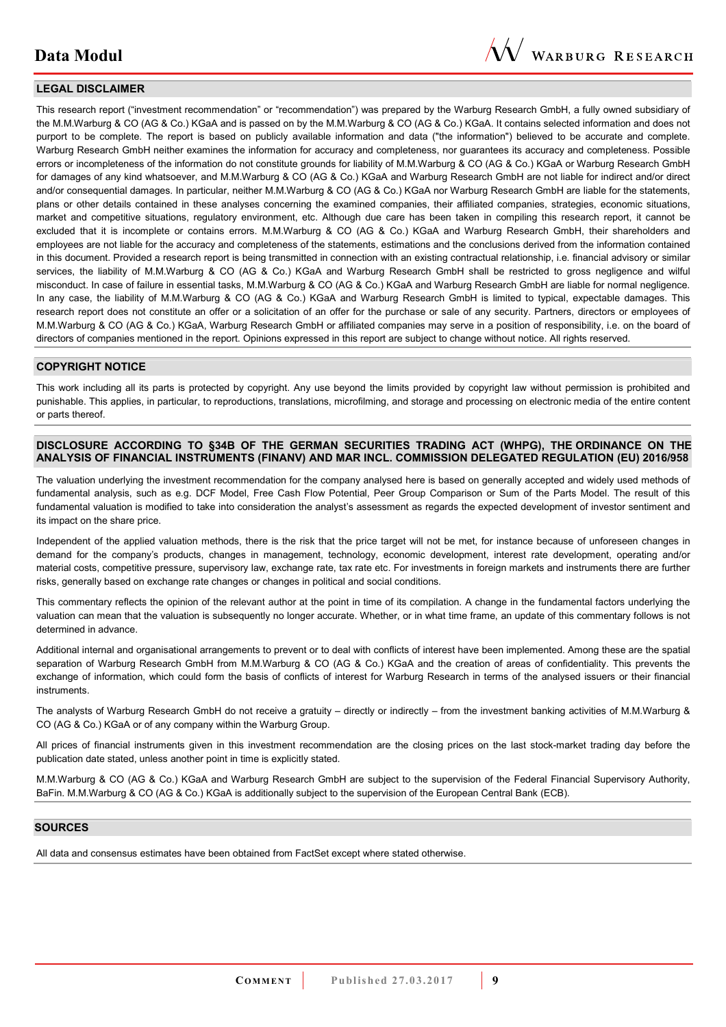

#### **LEGAL DISCLAIMER**

This research report ("investment recommendation" or "recommendation") was prepared by the Warburg Research GmbH, a fully owned subsidiary of the M.M.Warburg & CO (AG & Co.) KGaA and is passed on by the M.M.Warburg & CO (AG & Co.) KGaA. It contains selected information and does not purport to be complete. The report is based on publicly available information and data ("the information") believed to be accurate and complete. Warburg Research GmbH neither examines the information for accuracy and completeness, nor guarantees its accuracy and completeness. Possible errors or incompleteness of the information do not constitute grounds for liability of M.M.Warburg & CO (AG & Co.) KGaA or Warburg Research GmbH for damages of any kind whatsoever, and M.M.Warburg & CO (AG & Co.) KGaA and Warburg Research GmbH are not liable for indirect and/or direct and/or consequential damages. In particular, neither M.M.Warburg & CO (AG & Co.) KGaA nor Warburg Research GmbH are liable for the statements, plans or other details contained in these analyses concerning the examined companies, their affiliated companies, strategies, economic situations, market and competitive situations, regulatory environment, etc. Although due care has been taken in compiling this research report, it cannot be excluded that it is incomplete or contains errors. M.M.Warburg & CO (AG & Co.) KGaA and Warburg Research GmbH, their shareholders and employees are not liable for the accuracy and completeness of the statements, estimations and the conclusions derived from the information contained in this document. Provided a research report is being transmitted in connection with an existing contractual relationship, i.e. financial advisory or similar services, the liability of M.M.Warburg & CO (AG & Co.) KGaA and Warburg Research GmbH shall be restricted to gross negligence and wilful misconduct. In case of failure in essential tasks, M.M.Warburg & CO (AG & Co.) KGaA and Warburg Research GmbH are liable for normal negligence. In any case, the liability of M.M.Warburg & CO (AG & Co.) KGaA and Warburg Research GmbH is limited to typical, expectable damages. This research report does not constitute an offer or a solicitation of an offer for the purchase or sale of any security. Partners, directors or employees of M.M.Warburg & CO (AG & Co.) KGaA, Warburg Research GmbH or affiliated companies may serve in a position of responsibility, i.e. on the board of directors of companies mentioned in the report. Opinions expressed in this report are subject to change without notice. All rights reserved.

#### **COPYRIGHT NOTICE**

This work including all its parts is protected by copyright. Any use beyond the limits provided by copyright law without permission is prohibited and punishable. This applies, in particular, to reproductions, translations, microfilming, and storage and processing on electronic media of the entire content or parts thereof.

#### **DISCLOSURE ACCORDING TO §34B OF THE GERMAN SECURITIES TRADING ACT (WHPG), THE ORDINANCE ON THE ANALYSIS OF FINANCIAL INSTRUMENTS (FINANV) AND MAR INCL. COMMISSION DELEGATED REGULATION (EU) 2016/958**

The valuation underlying the investment recommendation for the company analysed here is based on generally accepted and widely used methods of fundamental analysis, such as e.g. DCF Model, Free Cash Flow Potential, Peer Group Comparison or Sum of the Parts Model. The result of this fundamental valuation is modified to take into consideration the analyst's assessment as regards the expected development of investor sentiment and its impact on the share price.

Independent of the applied valuation methods, there is the risk that the price target will not be met, for instance because of unforeseen changes in demand for the company's products, changes in management, technology, economic development, interest rate development, operating and/or material costs, competitive pressure, supervisory law, exchange rate, tax rate etc. For investments in foreign markets and instruments there are further risks, generally based on exchange rate changes or changes in political and social conditions.

This commentary reflects the opinion of the relevant author at the point in time of its compilation. A change in the fundamental factors underlying the valuation can mean that the valuation is subsequently no longer accurate. Whether, or in what time frame, an update of this commentary follows is not determined in advance.

Additional internal and organisational arrangements to prevent or to deal with conflicts of interest have been implemented. Among these are the spatial separation of Warburg Research GmbH from M.M.Warburg & CO (AG & Co.) KGaA and the creation of areas of confidentiality. This prevents the exchange of information, which could form the basis of conflicts of interest for Warburg Research in terms of the analysed issuers or their financial instruments.

The analysts of Warburg Research GmbH do not receive a gratuity – directly or indirectly – from the investment banking activities of M.M.Warburg & CO (AG & Co.) KGaA or of any company within the Warburg Group.

All prices of financial instruments given in this investment recommendation are the closing prices on the last stock-market trading day before the publication date stated, unless another point in time is explicitly stated.

M.M.Warburg & CO (AG & Co.) KGaA and Warburg Research GmbH are subject to the supervision of the Federal Financial Supervisory Authority, BaFin. M.M.Warburg & CO (AG & Co.) KGaA is additionally subject to the supervision of the European Central Bank (ECB).

#### **SOURCES**

All data and consensus estimates have been obtained from FactSet except where stated otherwise.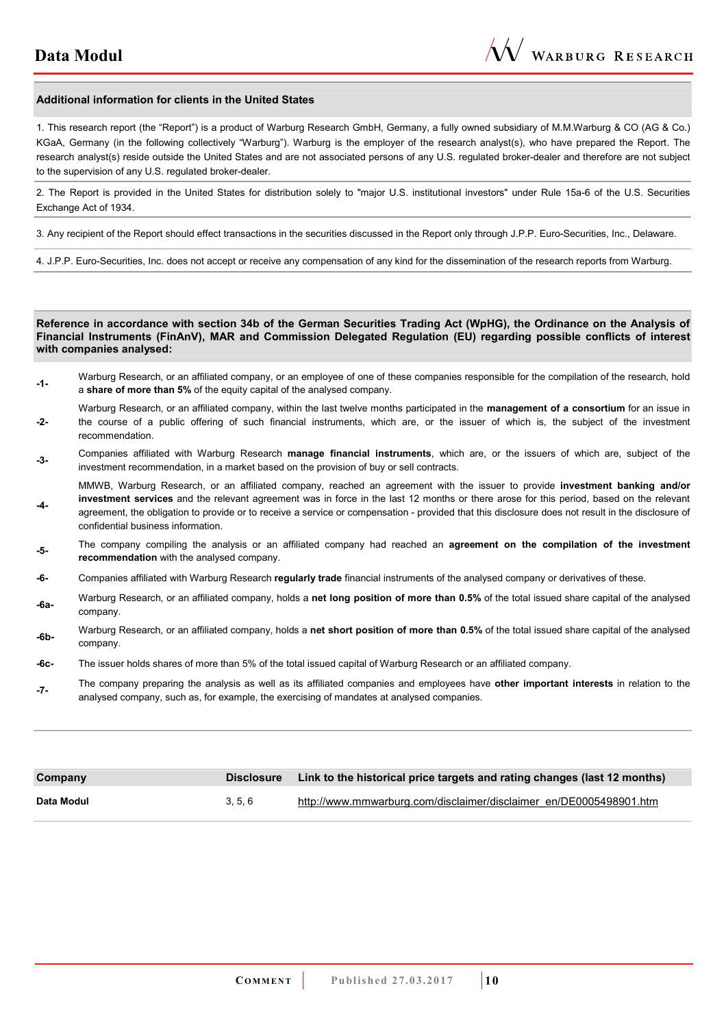#### **Additional information for clients in the United States**

1. This research report (the "Report") is a product of Warburg Research GmbH, Germany, a fully owned subsidiary of M.M.Warburg & CO (AG & Co.) KGaA, Germany (in the following collectively "Warburg"). Warburg is the employer of the research analyst(s), who have prepared the Report. The research analyst(s) reside outside the United States and are not associated persons of any U.S. regulated broker-dealer and therefore are not subject to the supervision of any U.S. regulated broker-dealer.

2. The Report is provided in the United States for distribution solely to "major U.S. institutional investors" under Rule 15a-6 of the U.S. Securities Exchange Act of 1934.

3. Any recipient of the Report should effect transactions in the securities discussed in the Report only through J.P.P. Euro-Securities, Inc., Delaware.

4. J.P.P. Euro-Securities, Inc. does not accept or receive any compensation of any kind for the dissemination of the research reports from Warburg.

**Reference in accordance with section 34b of the German Securities Trading Act (WpHG), the Ordinance on the Analysis of Financial Instruments (FinAnV), MAR and Commission Delegated Regulation (EU) regarding possible conflicts of interest with companies analysed:**

- **-1-** Warburg Research, or an affiliated company, or an employee of one of these companies responsible for the compilation of the research, hold a **share of more than 5%** of the equity capital of the analysed company.
- **-2-**  Warburg Research, or an affiliated company, within the last twelve months participated in the **management of a consortium** for an issue in the course of a public offering of such financial instruments, which are, or the issuer of which is, the subject of the investment recommendation.
- **-3-** Companies affiliated with Warburg Research **manage financial instruments**, which are, or the issuers of which are, subject of the investment recommendation, in a market based on the provision of buy or sell contracts.

**-4-**  MMWB, Warburg Research, or an affiliated company, reached an agreement with the issuer to provide **investment banking and/or investment services** and the relevant agreement was in force in the last 12 months or there arose for this period, based on the relevant agreement, the obligation to provide or to receive a service or compensation - provided that this disclosure does not result in the disclosure of confidential business information.

- **-5-** The company compiling the analysis or an affiliated company had reached an **agreement on the compilation of the investment recommendation** with the analysed company.
- **-6-** Companies affiliated with Warburg Research **regularly trade** financial instruments of the analysed company or derivatives of these.
- **-6a-** Warburg Research, or an affiliated company, holds a **net long position of more than 0.5%** of the total issued share capital of the analysed company.
- **-6b-** Warburg Research, or an affiliated company, holds a **net short position of more than 0.5%** of the total issued share capital of the analysed company.
- **-6c-** The issuer holds shares of more than 5% of the total issued capital of Warburg Research or an affiliated company.
- **-7-** The company preparing the analysis as well as its affiliated companies and employees have **other important interests** in relation to the analysed company, such as, for example, the exercising of mandates at analysed companies.

| Company    | <b>Disclosure</b> | Link to the historical price targets and rating changes (last 12 months) |
|------------|-------------------|--------------------------------------------------------------------------|
| Data Modul | 3, 5, 6           | http://www.mmwarburg.com/disclaimer/disclaimer_en/DE0005498901.htm       |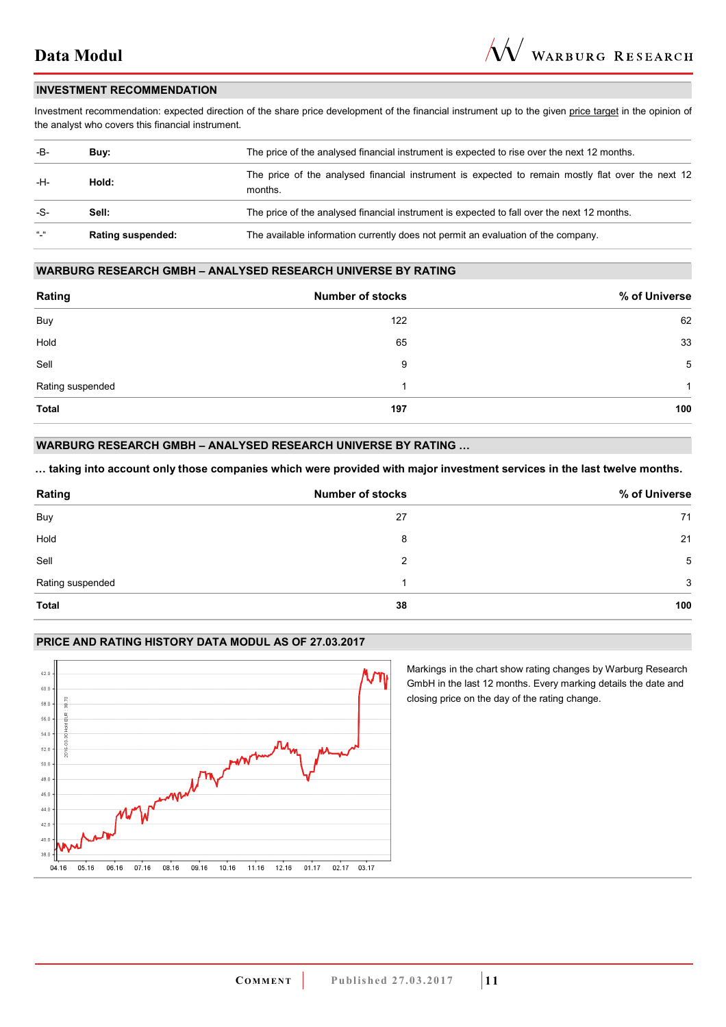#### **INVESTMENT RECOMMENDATION**

Investment recommendation: expected direction of the share price development of the financial instrument up to the given price target in the opinion of the analyst who covers this financial instrument.

| -B-           | Buv:                     | The price of the analysed financial instrument is expected to rise over the next 12 months.                  |
|---------------|--------------------------|--------------------------------------------------------------------------------------------------------------|
| -H-           | Hold:                    | The price of the analysed financial instrument is expected to remain mostly flat over the next 12<br>months. |
| -S-           | Sell:                    | The price of the analysed financial instrument is expected to fall over the next 12 months.                  |
| $\frac{1}{2}$ | <b>Rating suspended:</b> | The available information currently does not permit an evaluation of the company.                            |

#### **WARBURG RESEARCH GMBH – ANALYSED RESEARCH UNIVERSE BY RATING**

| Rating           | <b>Number of stocks</b> | % of Universe |
|------------------|-------------------------|---------------|
| Buy              | 122                     | 62            |
| Hold             | 65                      | 33            |
| Sell             | 9                       | 5             |
| Rating suspended | и                       | 1             |
| <b>Total</b>     | 197                     | 100           |

## **WARBURG RESEARCH GMBH – ANALYSED RESEARCH UNIVERSE BY RATING ...**

... taking into account only those companies which were provided with major investment services in the last twelve months.

| Rating           | <b>Number of stocks</b> | % of Universe |
|------------------|-------------------------|---------------|
| Buy              | 27                      | 71            |
| Hold             | 8                       | 21            |
| Sell             | 2                       | 5             |
| Rating suspended |                         | 3             |
| <b>Total</b>     | 38                      | 100           |

## **PRICE AND RATING HISTORY DATA MODUL AS OF 27.03.2017**



Markings in the chart show rating changes by Warburg Research GmbH in the last 12 months. Every marking details the date and closing price on the day of the rating change.